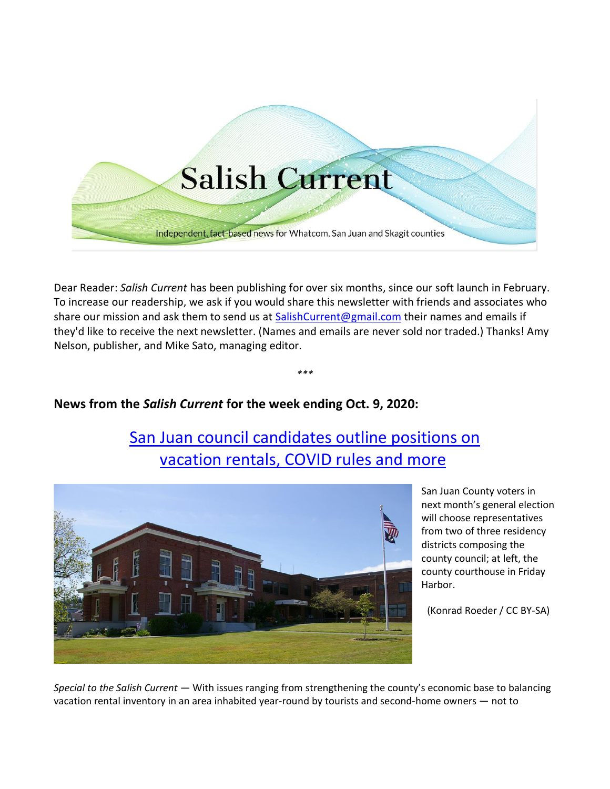

Dear Reader: *Salish Current* has been publishing for over six months, since our soft launch in February. To increase our readership, we ask if you would share this newsletter with friends and associates who share our mission and ask them to send us at [SalishCurrent@gmail.com](mailto:SalishCurrent@gmail.com) their names and emails if they'd like to receive the next newsletter. (Names and emails are never sold nor traded.) Thanks! Amy Nelson, publisher, and Mike Sato, managing editor.

*\*\*\**

## **News from the** *Salish Current* **for the week ending Oct. 9, 2020:**

# [San Juan council candidates outline positions on](https://salish-current.org/2020/10/06/san-juan-council-candidates-outline-positions-on-vacation-rental-covid-rules-and-more/) vacation rentals, [COVID rules and more](https://salish-current.org/2020/10/06/san-juan-council-candidates-outline-positions-on-vacation-rental-covid-rules-and-more/)



San Juan County voters in next month's general election will choose representatives from two of three residency districts composing the county council; at left, the county courthouse in Friday Harbor.

(Konrad Roeder / CC BY-SA)

*Special to the Salish Current* — With issues ranging from strengthening the county's economic base to balancing vacation rental inventory in an area inhabited year-round by tourists and second-home owners — not to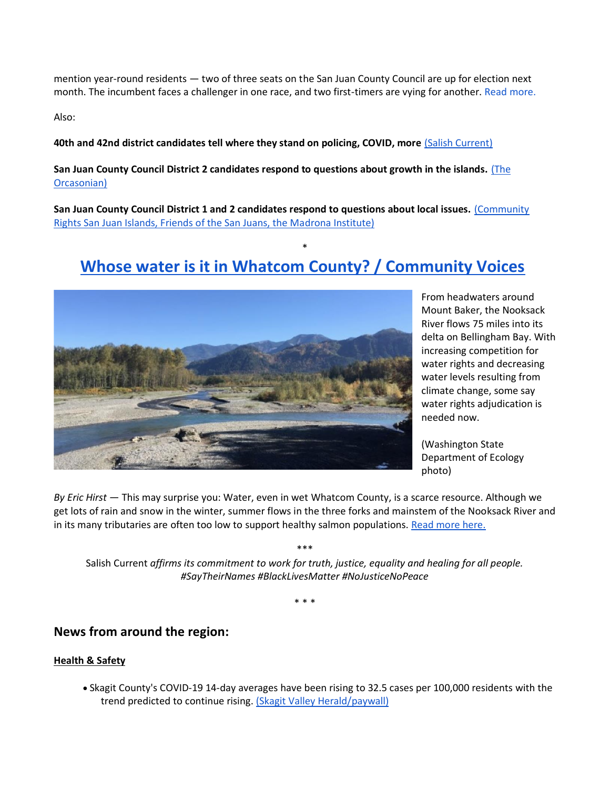mention year-round residents — two of three seats on the San Juan County Council are up for election next month. The incumbent faces a challenger in one race, and two first-timers are vying for another. [Read more.](https://salish-current.org/2020/10/06/san-juan-council-candidates-outline-positions-on-vacation-rental-covid-rules-and-more/)

Also:

**40th and 42nd district candidates tell where they stand on policing, COVID, more** [\(Salish Current\)](https://salish-current.org/2020/10/02/ready-to-vote-40th-and-42nd-district-candidates-tell-where-they-stand-on-policing-covid-more/)

**San Juan County Council District 2 candidates respond to questions about growth in the islands.** [\(The](https://theorcasonian.com/district-2-candidates-respond-is-sjc-prepared-for-unanticipated-growth/)  [Orcasonian\)](https://theorcasonian.com/district-2-candidates-respond-is-sjc-prepared-for-unanticipated-growth/)

**San Juan County Council District 1 and 2 candidates respond to questions about local issues.** [\(Community](https://drive.google.com/file/d/1ET8X455_Qe6jfFJkW8Wie_RCjS4KSzln/view)  [Rights San Juan Islands, Friends of the San Juans, the Madrona Institute\)](https://drive.google.com/file/d/1ET8X455_Qe6jfFJkW8Wie_RCjS4KSzln/view)

# \* **[Whose water is it in Whatcom County? / Community Voices](https://salish-current.org/2020/10/09/whose-water-is-it-in-whatcom-county-community-voices/)**



From headwaters around Mount Baker, the Nooksack River flows 75 miles into its delta on Bellingham Bay. With increasing competition for water rights and decreasing water levels resulting from climate change, some say water rights adjudication is needed now.

(Washington State Department of Ecology photo)

*By Eric Hirst* — This may surprise you: Water, even in wet Whatcom County, is a scarce resource. Although we get lots of rain and snow in the winter, summer flows in the three forks and mainstem of the Nooksack River and in its many tributaries are often too low to support healthy salmon populations. [Read more here.](https://salish-current.org/2020/10/09/whose-water-is-it-in-whatcom-county-community-voices/)

\*\*\* Salish Current *affirms its commitment to work for truth, justice, equality and healing for all people. #SayTheirNames #BlackLivesMatter #NoJusticeNoPeace*

\* \* \*

### **News from around the region:**

#### **Health & Safety**

• Skagit County's COVID-19 14-day averages have been rising to 32.5 cases per 100,000 residents with the trend predicted to continue rising. [\(Skagit Valley Herald/paywall\)](https://www.goskagit.com/news/local_news/skagit-county-covid-19-cases-spiking-again/article_5f45d5c5-da2a-50ee-a5fd-4201f12739f2.html)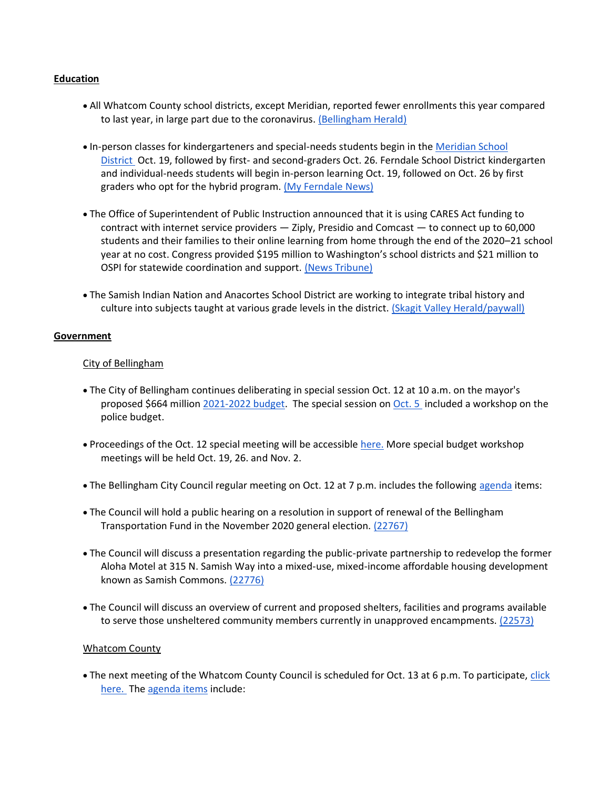#### **Education**

- All Whatcom County school districts, except Meridian, reported fewer enrollments this year compared to last year, in large part due to the coronavirus. [\(Bellingham Herald\)](https://www.bellinghamherald.com/news/coronavirus/article246296300.html)
- In-person classes for kindergarteners and special-needs students begin in the [Meridian School](https://www.smore.com/h0q59)  [District](https://www.smore.com/h0q59) Oct. 19, followed by first- and second-graders Oct. 26. Ferndale School District kindergarten and individual-needs students will begin in-person learning Oct. 19, followed on Oct. 26 by first graders who opt for the hybrid program. [\(My Ferndale News\)](https://myferndalenews.com/ferndale-school-district-announces-start-to-in-person-classes-for-some-students_108070/)
- The Office of Superintendent of Public Instruction announced that it is using CARES Act funding to contract with internet service providers — Ziply, Presidio and Comcast — to connect up to 60,000 students and their families to their online learning from home through the end of the 2020–21 school year at no cost. Congress provided \$195 million to Washington's school districts and \$21 million to OSPI for statewide coordination and support. [\(News Tribune\)](https://www.thenewstribune.com/article246182170.html)
- The Samish Indian Nation and Anacortes School District are working to integrate tribal history and culture into subjects taught at various grade levels in the district. [\(Skagit Valley Herald/paywall\)](https://www.goskagit.com/news/local_news/effort-underway-to-weave-samish-tribal-perspective-into-anacortes-schools/article_76baaac7-07c8-5916-96ac-328afd88602f.html)

#### **Government**

#### City of Bellingham

- The City of Bellingham continues deliberating in special session Oct. 12 at 10 a.m. on the mayor's proposed \$664 million [2021-2022 budget.](https://cob.org/wp-content/uploads/2021-22-Preliminary-Budget.pdf) The special session on [Oct. 5](https://meetings.cob.org/Meetings/ViewMeeting?id=2339&doctype=1) included a workshop on the police budget.
- Proceedings of the Oct. 12 special meeting will be accessible [here.](https://meetings.cob.org/Meetings/ViewMeeting?id=2343&doctype=1) More special budget workshop meetings will be held Oct. 19, 26. and Nov. 2.
- The Bellingham City Council regular meeting on Oct. 12 at 7 p.m. includes the following [agenda](https://meetings.cob.org/Meetings/ViewMeeting?id=2290&doctype=1) items:
- The Council will hold a public hearing on a resolution in support of renewal of the Bellingham Transportation Fund in the November 2020 general election. [\(22767\)](https://meetings.cob.org/Documents/ViewDocument/Agenda%20Bill%2022767.pdf?meetingId=2290&documentType=Agenda&itemId=16330&publishId=18038&isSection=false)
- The Council will discuss a presentation regarding the public-private partnership to redevelop the former Aloha Motel at 315 N. Samish Way into a mixed-use, mixed-income affordable housing development known as Samish Commons. [\(22776\)](https://meetings.cob.org/Documents/ViewDocument/Agenda%20Bill%2022776.pdf?meetingId=2290&documentType=Agenda&itemId=16346&publishId=18045&isSection=false)
- The Council will discuss an overview of current and proposed shelters, facilities and programs available to serve those unsheltered community members currently in unapproved encampments. [\(22573\)](https://meetings.cob.org/Documents/ViewDocument/Agenda%20Bill%2022573.pdf?meetingId=2290&documentType=Agenda&itemId=16360&publishId=18074&isSection=false)

#### Whatcom County

• The next meeting of the Whatcom County Council is scheduled for Oct. 13 at 6 p.m. To participate, click [here.](http://www.whatcomcounty.us/3415/Participate-in-Virtual-Council-Meetings) The [agenda items](https://whatcom.legistar.com/View.ashx?M=A&ID=735053&GUID=473E7E21-C280-4F85-BECD-67A40BA1A510) include: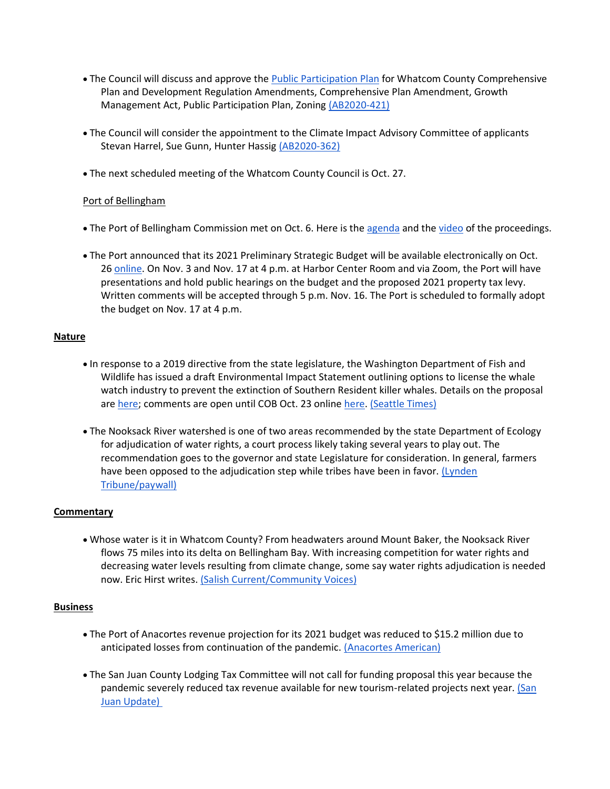- The Council will discuss and approve the [Public Participation Plan](https://whatcom.legistar.com/View.ashx?M=F&ID=8835728&GUID=2D33E109-9871-47C3-BC38-A677DA2FDE21) for Whatcom County Comprehensive Plan and Development Regulation Amendments, Comprehensive Plan Amendment, Growth Management Act, Public Participation Plan, Zoning [\(AB2020-421\)](https://whatcom.legistar.com/View.ashx?M=F&ID=8835727&GUID=C1DA1E0A-78DD-45E1-93BE-C87E5387626E)
- The Council will consider the appointment to the Climate Impact Advisory Committee of applicants Stevan Harrel, Sue Gunn, Hunter Hassig [\(AB2020-362\)](https://whatcom.legistar.com/LegislationDetail.aspx?ID=4636105&GUID=E9E533F0-EF77-4BCC-874F-03ACC758FC3D)
- The next scheduled meeting of the Whatcom County Council is Oct. 27.

#### Port of Bellingham

- The Port of Bellingham Commission met on Oct. 6. Here is the [agenda](https://www.portofbellingham.com/AgendaCenter/ViewFile/Agenda/_10062020-452) and the [video](https://www.youtube.com/watch?v=sdfAuKMtSqA) of the proceedings.
- The Port announced that its 2021 Preliminary Strategic Budget will be available electronically on Oct. 26 [online.](https://www.portofbellingham.com/) On Nov. 3 and Nov. 17 at 4 p.m. at Harbor Center Room and via Zoom, the Port will have presentations and hold public hearings on the budget and the proposed 2021 property tax levy. Written comments will be accepted through 5 p.m. Nov. 16. The Port is scheduled to formally adopt the budget on Nov. 17 at 4 p.m.

#### **Nature**

- In response to a 2019 directive from the state legislature, the Washington Department of Fish and Wildlife has issued a draft Environmental Impact Statement outlining options to license the whale watch industry to prevent the extinction of Southern Resident killer whales. Details on the proposal are [here;](https://wdfw.wa.gov/species-habitats/at-risk/species-recovery/orca/rule-making) comments are open until COB Oct. 23 online [here.](https://www.surveymonkey.com/r/V736PTB) [\(Seattle Times\)](https://www.seattletimes.com/seattle-news/environment/new-orca-focused-rules-take-shape-for-whale-watching-in-washington/)
- The Nooksack River watershed is one of two areas recommended by the state Department of Ecology for adjudication of water rights, a court process likely taking several years to play out. The recommendation goes to the governor and state Legislature for consideration. In general, farmers have been opposed to the adjudication step while tribes have been in favor. (Lynden [Tribune/paywall\)](https://www.lyndentribune.com/news/nooksack-watershed-tabbed-for-adjudication/article_59d80816-082e-11eb-8245-eb7ad7a9445c.html)

#### **Commentary**

• Whose water is it in Whatcom County? From headwaters around Mount Baker, the Nooksack River flows 75 miles into its delta on Bellingham Bay. With increasing competition for water rights and decreasing water levels resulting from climate change, some say water rights adjudication is needed now. Eric Hirst writes. [\(Salish Current/Community](https://salish-current.org/2020/10/09/whose-water-is-it-in-whatcom-county-community-voices/) Voices)

#### **Business**

- The Port of Anacortes revenue projection for its 2021 budget was reduced to \$15.2 million due to anticipated losses from continuation of the pandemic. [\(Anacortes American\)](https://www.goskagit.com/anacortes/news/port-lowers-revenue-projection-to-15-2-million-in-2021budget-plan/article_5d4e2836-0824-11eb-9df2-33046f5c642f.html)
- The San Juan County Lodging Tax Committee will not call for funding proposal this year because the pandemic severely reduced tax revenue available for new tourism-related projects next year. [\(San](https://sanjuanupdate.com/2020/10/san-juan-county-halts-lodging-tax-proposals/)  [Juan Update\)](https://sanjuanupdate.com/2020/10/san-juan-county-halts-lodging-tax-proposals/)